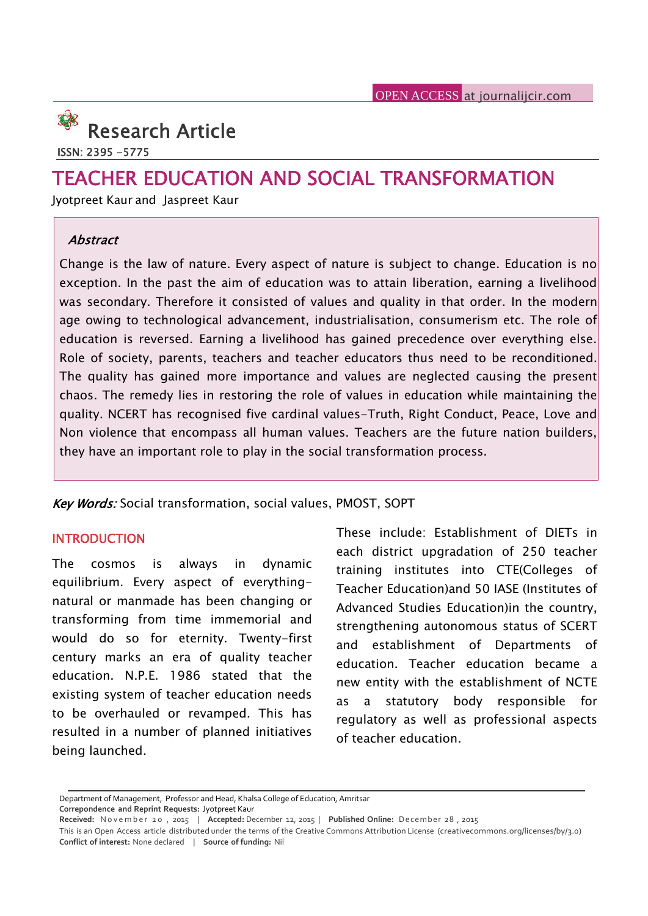

**ISSN: 2395 -5775**

# **TEACHER EDUCATION AND SOCIAL TRANSFORMATION**

Jyotpreet Kaur and Jaspreet Kaur

## *Abstract*

Change is the law of nature. Every aspect of nature is subject to change. Education is no exception. In the past the aim of education was to attain liberation, earning a livelihood was secondary. Therefore it consisted of values and quality in that order. In the modern age owing to technological advancement, industrialisation, consumerism etc. The role of education is reversed. Earning a livelihood has gained precedence over everything else. Role of society, parents, teachers and teacher educators thus need to be reconditioned. The quality has gained more importance and values are neglected causing the present chaos. The remedy lies in restoring the role of values in education while maintaining the quality. NCERT has recognised five cardinal values-Truth, Right Conduct, Peace, Love and Non violence that encompass all human values. Teachers are the future nation builders, they have an important role to play in the social transformation process.

*Key Words:* Social transformation, social values, PMOST, SOPT

### **INTRODUCTION**

The cosmos is always in dynamic equilibrium. Every aspect of everything natural or manmade has been changing or transforming from time immemorial and would do so for eternity. Twenty-first century marks an era of quality teacher education. N.P.E. 1986 stated that the existing system of teacher education needs to be overhauled or revamped. This has resulted in a number of planned initiatives being launched.

These include: Establishment of DIETs in each district upgradation of 250 teacher training institutes into CTE(Colleges of Teacher Education)and 50 IASE (Institutes of Advanced Studies Education)in the country, strengthening autonomous status of SCERT and establishment of Departments of education. Teacher education became a new entity with the establishment of NCTE as a statutory body responsible for regulatory as well as professional aspects of teacher education.

Department of Management, Professor and Head, Khalsa College of Education, Amritsar

**Correpondence and Reprint Requests:** Jyotpreet Kaur

**Received:** N o v e m b e r 2 0 , <sup>2015</sup> <sup>|</sup> **Accepted:** December 12, <sup>2015</sup> <sup>|</sup> **Published Online:** D ecemb er <sup>28</sup> , <sup>2015</sup>

This is an Open Access article distributed under the terms of the Creative Commons Attribution License (creativecommons.org/licenses/by/3.0) **Conflict of interest:** None declared | **Source of funding:** Nil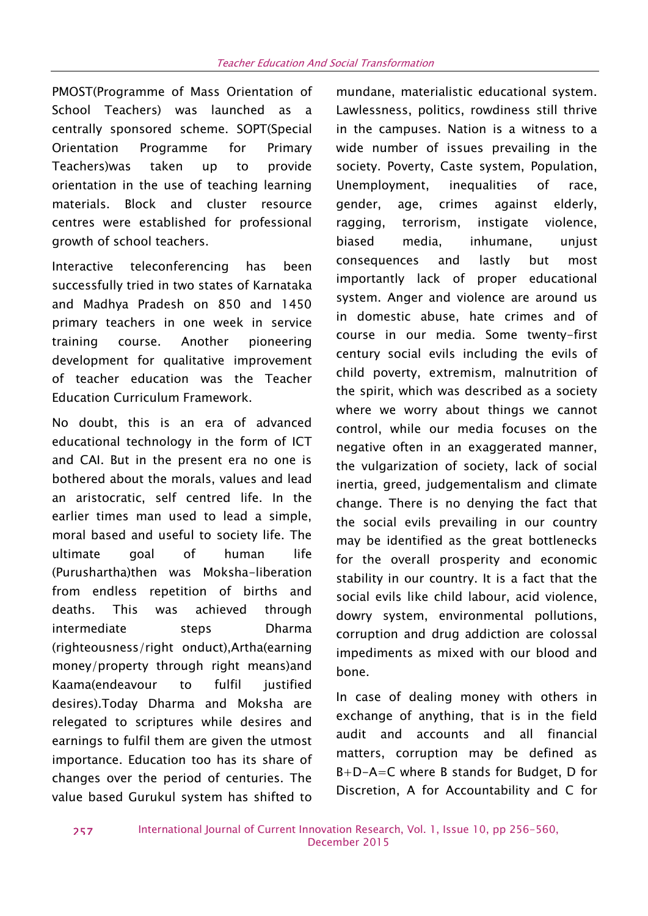PMOST(Programme of Mass Orientation of School Teachers) was launched as a centrally sponsored scheme. SOPT(Special Orientation Programme for Primary Teachers)was taken up to provide orientation in the use of teaching learning materials. Block and cluster resource gender, centres were established for professional growth of school teachers.

Interactive teleconferencing has been successfully tried in two states of Karnataka and Madhya Pradesh on 850 and 1450 primary teachers in one week in service training course. Another pioneering development for qualitative improvement of teacher education was the Teacher Education Curriculum Framework.

No doubt, this is an era of advanced educational technology in the form of ICT and CAI. But in the present era no one is bothered about the morals, values and lead an aristocratic, self centred life. In the earlier times man used to lead a simple, moral based and useful to society life. The ultimate goal of human life (Purushartha)then was Moksha-liberation from endless repetition of births and deaths. This was achieved through intermediate steps Dharma (righteousness/right onduct),Artha(earning money/property through right means)and Kaama(endeavour to fulfil justified desires).Today Dharma and Moksha are relegated to scriptures while desires and earnings to fulfil them are given the utmost importance. Education too has its share of changes over the period of centuries. The value based Gurukul system has shifted to

mundane, materialistic educational system. Lawlessness, politics, rowdiness still thrive in the campuses. Nation is a witness to a wide number of issues prevailing in the society. Poverty, Caste system, Population, Unemployment, inequalities of race, age, crimes against elderly, terrorism, instigate violence, biased media, inhumane, unjust consequences and lastly but most importantly lack of proper educational system. Anger and violence are around us in domestic abuse, hate crimes and of course in our media. Some twenty-first century social evils including the evils of child poverty, extremism, malnutrition of the spirit, which was described as a society where we worry about things we cannot control, while our media focuses on the negative often in an exaggerated manner, the vulgarization of society, lack of social inertia, greed, judgementalism and climate change. There is no denying the fact that the social evils prevailing in our country may be identified as the great bottlenecks for the overall prosperity and economic stability in our country. It is a fact that the social evils like child labour, acid violence, dowry system, environmental pollutions, corruption and drug addiction are colossal impediments as mixed with our blood and bone.

In case of dealing money with others in exchange of anything, that is in the field audit and accounts and all financial matters, corruption may be defined as B+D-A=C where B stands for Budget, D for Discretion, A for Accountability and C for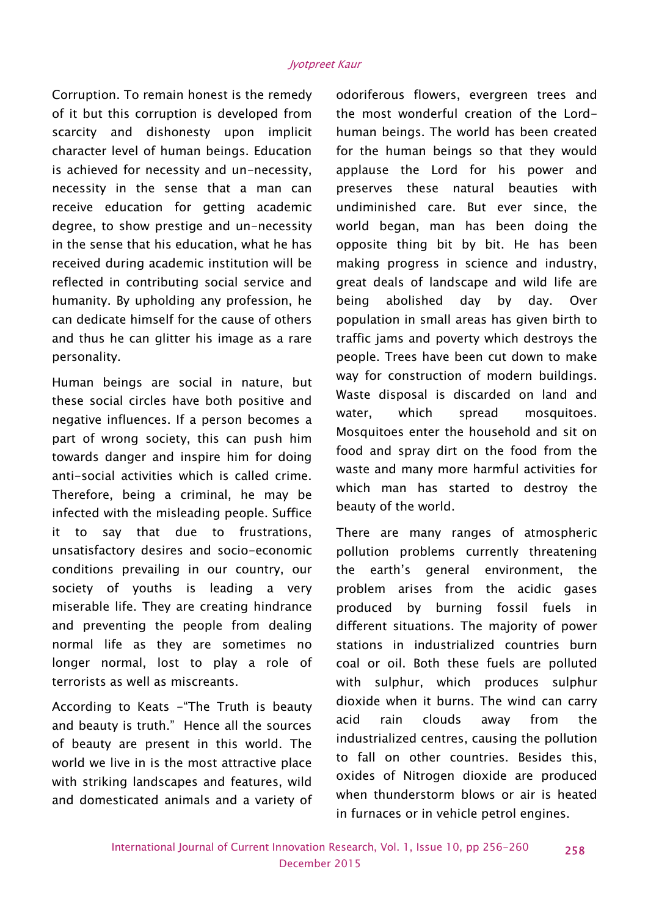Corruption. To remain honest is the remedy of it but this corruption is developed from scarcity and dishonesty upon implicit character level of human beings. Education is achieved for necessity and un-necessity, necessity in the sense that a man can receive education for getting academic degree, to show prestige and un-necessity in the sense that his education, what he has received during academic institution will be reflected in contributing social service and humanity. By upholding any profession, he can dedicate himself for the cause of others and thus he can glitter his image as a rare personality.

Human beings are social in nature, but these social circles have both positive and waste<br>water. negative influences. If a person becomes a part of wrong society, this can push him towards danger and inspire him for doing anti-social activities which is called crime. Therefore, being a criminal, he may be infected with the misleading people. Suffice it to say that due to frustrations, unsatisfactory desires and socio-economic conditions prevailing in our country, our society of youths is leading a very miserable life. They are creating hindrance and preventing the people from dealing normal life as they are sometimes no longer normal, lost to play a role of terrorists as well as miscreants.

According to Keats - The Truth is beauty<br>and beauty is turth." Hence all the secures acid and beauty is truth." Hence all the sources of beauty are present in this world. The world we live in is the most attractive place with striking landscapes and features, wild and domesticated animals and a variety of

odoriferous flowers, evergreen trees and the most wonderful creation of the Lord human beings. The world has been created for the human beings so that they would applause the Lord for his power and preserves these natural beauties with undiminished care. But ever since, the world began, man has been doing the opposite thing bit by bit. He has been making progress in science and industry, great deals of landscape and wild life are abolished day by day. Over population in small areas has given birth to traffic jams and poverty which destroys the people. Trees have been cut down to make way for construction of modern buildings. Waste disposal is discarded on land and which spread mosquitoes. Mosquitoes enter the household and sit on food and spray dirt on the food from the waste and many more harmful activities for which man has started to destroy the beauty of the world.

There are many ranges of atmospheric pollution problems currently threatening the earth's general environment, the problem arises from the acidic gases produced by burning fossil fuels in different situations. The majority of power stations in industrialized countries burn coal or oil. Both these fuels are polluted with sulphur, which produces sulphur dioxide when it burns. The wind can carry rain clouds away from the industrialized centres, causing the pollution to fall on other countries. Besides this, oxides of Nitrogen dioxide are produced when thunderstorm blows or air is heated in furnaces or in vehicle petrol engines.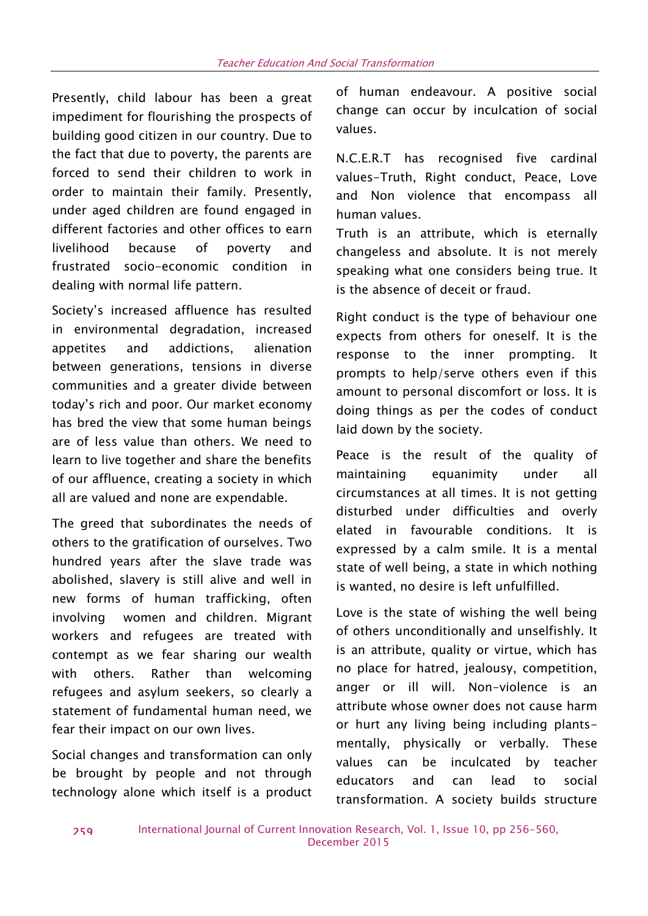Presently, child labour has been a great impediment for flourishing the prospects of building good citizen in our country. Due to the fact that due to poverty, the parents are forced to send their children to work in order to maintain their family. Presently, under aged children are found engaged in different factories and other offices to earn livelihood because of poverty and frustrated socio-economic condition in dealing with normal life pattern.

Society's increased affluence has resulted in environmental degradation, increased appetites and addictions, alienation between generations, tensions in diverse communities and a greater divide between today's rich and poor. Our market economy has bred the view that some human beings are of less value than others. We need to learn to live together and share the benefits of our affluence, creating a society in which all are valued and none are expendable.

The greed that subordinates the needs of others to the gratification of ourselves. Two hundred years after the slave trade was abolished, slavery is still alive and well in new forms of human trafficking, often involving women and children. Migrant workers and refugees are treated with contempt as we fear sharing our wealth with others. Rather than welcoming refugees and asylum seekers, so clearly a statement of fundamental human need, we fear their impact on our own lives.

Social changes and transformation can only be brought by people and not through technology alone which itself is a product

of human endeavour. A positive social change can occur by inculcation of social values.

N.C.E.R.T has recognised five cardinal values-Truth, Right conduct, Peace, Love and Non violence that encompass all human values.

Truth is an attribute, which is eternally changeless and absolute. It is not merely speaking what one considers being true. It is the absence of deceit or fraud.

Right conduct is the type of behaviour one expects from others for oneself. It is the response to the inner prompting. It prompts to help/serve others even if this amount to personal discomfort or loss. It is doing things as per the codes of conduct laid down by the society.

Peace is the result of the quality of maintaining equanimity under all circumstances at all times. It is not getting disturbed under difficulties and overly elated in favourable conditions. It is expressed by a calm smile. It is a mental state of well being, a state in which nothing is wanted, no desire is left unfulfilled.

Love is the state of wishing the well being of others unconditionally and unselfishly. It is an attribute, quality or virtue, which has no place for hatred, jealousy, competition, anger or ill will. Non-violence is an attribute whose owner does not cause harm or hurt any living being including plants mentally, physically or verbally. These values can be inculcated by teacher educators and can lead to social transformation. A society builds structure